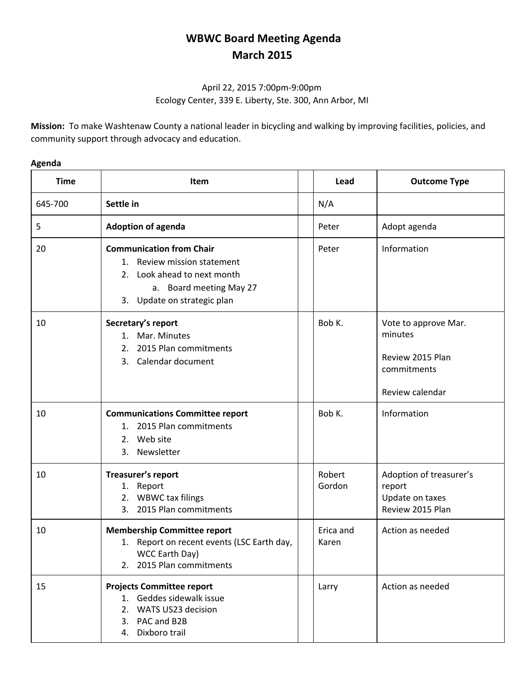## **WBWC Board Meeting Agenda March 2015**

## April 22, 2015 7:00pm-9:00pm Ecology Center, 339 E. Liberty, Ste. 300, Ann Arbor, MI

**Mission:** To make Washtenaw County a national leader in bicycling and walking by improving facilities, policies, and community support through advocacy and education.

## **Agenda**

| <b>Time</b> | <b>Item</b>                                                                                                                                                | Lead               | <b>Outcome Type</b>                                                                   |
|-------------|------------------------------------------------------------------------------------------------------------------------------------------------------------|--------------------|---------------------------------------------------------------------------------------|
| 645-700     | Settle in                                                                                                                                                  | N/A                |                                                                                       |
| 5           | <b>Adoption of agenda</b>                                                                                                                                  | Peter              | Adopt agenda                                                                          |
| 20          | <b>Communication from Chair</b><br>1. Review mission statement<br>Look ahead to next month<br>2.<br>a. Board meeting May 27<br>3. Update on strategic plan | Peter              | Information                                                                           |
| 10          | Secretary's report<br>1. Mar. Minutes<br>2015 Plan commitments<br>2.<br>3. Calendar document                                                               | Bob K.             | Vote to approve Mar.<br>minutes<br>Review 2015 Plan<br>commitments<br>Review calendar |
| 10          | <b>Communications Committee report</b><br>1. 2015 Plan commitments<br>2. Web site<br>Newsletter<br>3.                                                      | Bob K.             | Information                                                                           |
| 10          | Treasurer's report<br>1. Report<br>2. WBWC tax filings<br>3. 2015 Plan commitments                                                                         | Robert<br>Gordon   | Adoption of treasurer's<br>report<br>Update on taxes<br>Review 2015 Plan              |
| 10          | <b>Membership Committee report</b><br>Report on recent events (LSC Earth day,<br>1.<br>WCC Earth Day)<br>2. 2015 Plan commitments                          | Erica and<br>Karen | Action as needed                                                                      |
| 15          | <b>Projects Committee report</b><br>1. Geddes sidewalk issue<br>2. WATS US23 decision<br>3. PAC and B2B<br>4. Dixboro trail                                | Larry              | Action as needed                                                                      |